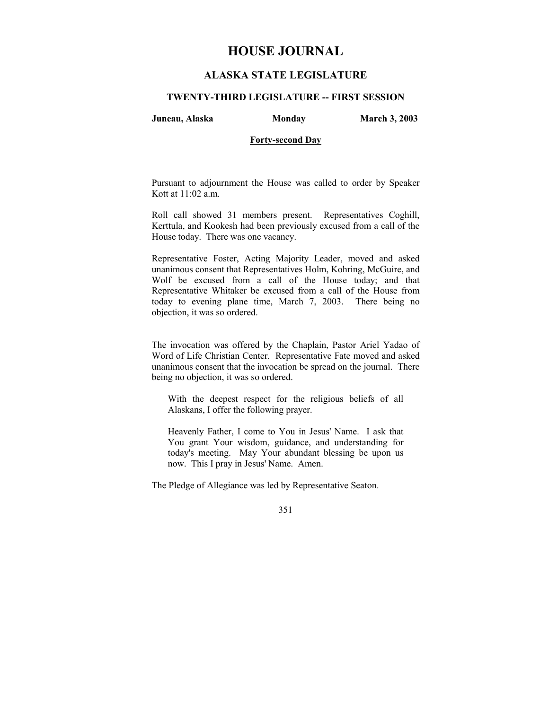# **HOUSE JOURNAL**

# **ALASKA STATE LEGISLATURE**

### **TWENTY-THIRD LEGISLATURE -- FIRST SESSION**

**Juneau, Alaska Monday March 3, 2003** 

## **Forty-second Day**

Pursuant to adjournment the House was called to order by Speaker Kott at 11:02 a.m.

Roll call showed 31 members present. Representatives Coghill, Kerttula, and Kookesh had been previously excused from a call of the House today. There was one vacancy.

Representative Foster, Acting Majority Leader, moved and asked unanimous consent that Representatives Holm, Kohring, McGuire, and Wolf be excused from a call of the House today; and that Representative Whitaker be excused from a call of the House from today to evening plane time, March 7, 2003. There being no objection, it was so ordered.

The invocation was offered by the Chaplain, Pastor Ariel Yadao of Word of Life Christian Center. Representative Fate moved and asked unanimous consent that the invocation be spread on the journal. There being no objection, it was so ordered.

With the deepest respect for the religious beliefs of all Alaskans, I offer the following prayer.

Heavenly Father, I come to You in Jesus' Name. I ask that You grant Your wisdom, guidance, and understanding for today's meeting. May Your abundant blessing be upon us now. This I pray in Jesus' Name. Amen.

The Pledge of Allegiance was led by Representative Seaton.

#### 351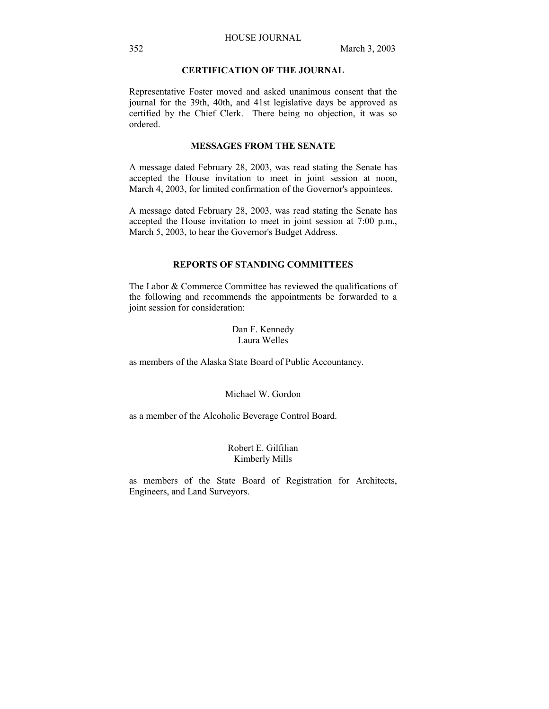## **CERTIFICATION OF THE JOURNAL**

Representative Foster moved and asked unanimous consent that the journal for the 39th, 40th, and 41st legislative days be approved as certified by the Chief Clerk. There being no objection, it was so ordered.

### **MESSAGES FROM THE SENATE**

A message dated February 28, 2003, was read stating the Senate has accepted the House invitation to meet in joint session at noon, March 4, 2003, for limited confirmation of the Governor's appointees.

A message dated February 28, 2003, was read stating the Senate has accepted the House invitation to meet in joint session at 7:00 p.m., March 5, 2003, to hear the Governor's Budget Address.

### **REPORTS OF STANDING COMMITTEES**

The Labor & Commerce Committee has reviewed the qualifications of the following and recommends the appointments be forwarded to a joint session for consideration:

> Dan F. Kennedy Laura Welles

as members of the Alaska State Board of Public Accountancy.

### Michael W. Gordon

as a member of the Alcoholic Beverage Control Board.

## Robert E. Gilfilian Kimberly Mills

as members of the State Board of Registration for Architects, Engineers, and Land Surveyors.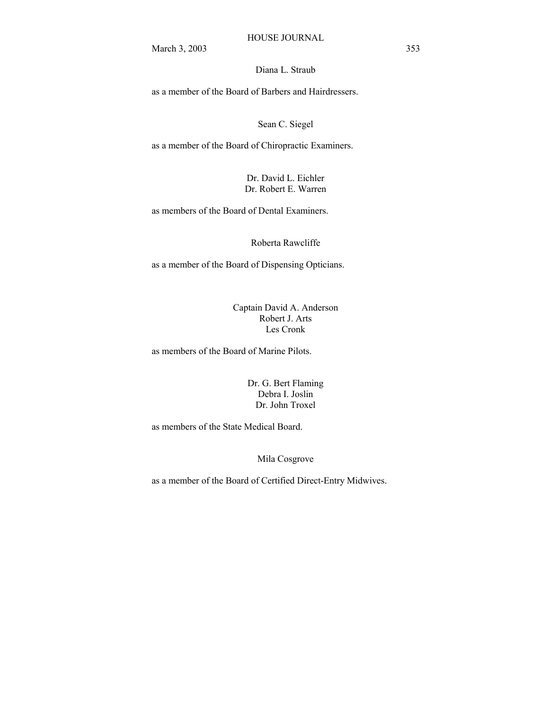Diana L. Straub

as a member of the Board of Barbers and Hairdressers.

Sean C. Siegel

as a member of the Board of Chiropractic Examiners.

Dr. David L. Eichler Dr. Robert E. Warren

as members of the Board of Dental Examiners.

Roberta Rawcliffe

as a member of the Board of Dispensing Opticians.

Captain David A. Anderson Robert J. Arts Les Cronk

as members of the Board of Marine Pilots.

Dr. G. Bert Flaming Debra I. Joslin Dr. John Troxel

as members of the State Medical Board.

Mila Cosgrove

as a member of the Board of Certified Direct-Entry Midwives.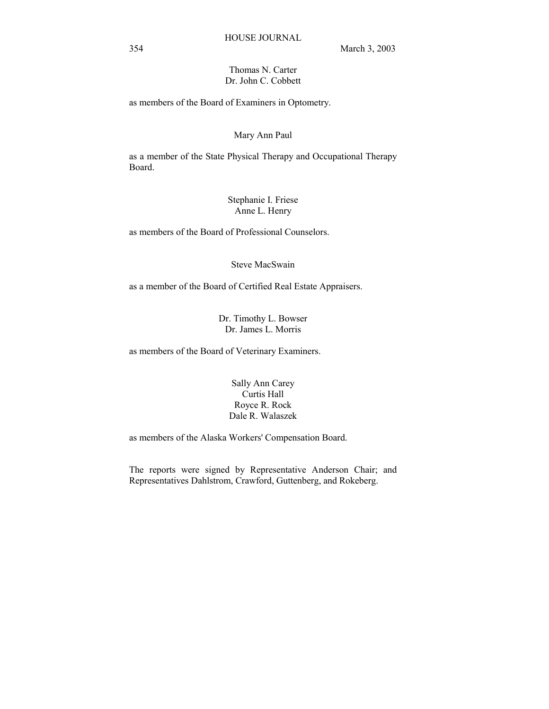## Thomas N. Carter Dr. John C. Cobbett

as members of the Board of Examiners in Optometry.

### Mary Ann Paul

as a member of the State Physical Therapy and Occupational Therapy Board.

## Stephanie I. Friese Anne L. Henry

as members of the Board of Professional Counselors.

Steve MacSwain

as a member of the Board of Certified Real Estate Appraisers.

Dr. Timothy L. Bowser Dr. James L. Morris

as members of the Board of Veterinary Examiners.

Sally Ann Carey Curtis Hall Royce R. Rock Dale R. Walaszek

as members of the Alaska Workers' Compensation Board.

The reports were signed by Representative Anderson Chair; and Representatives Dahlstrom, Crawford, Guttenberg, and Rokeberg.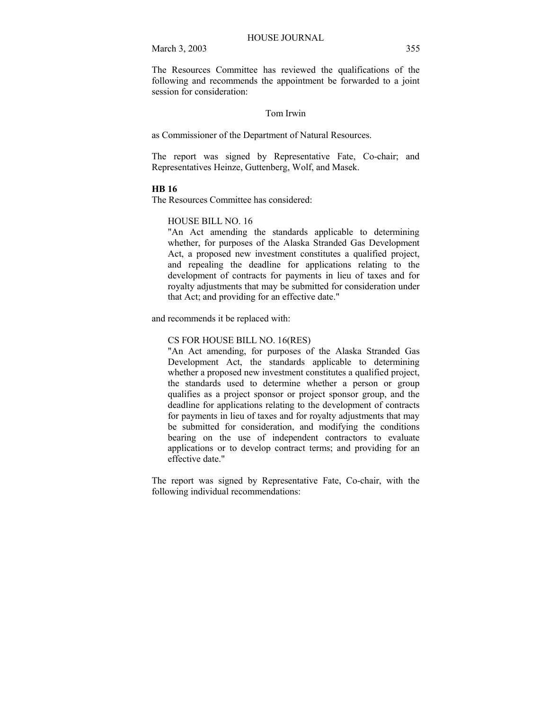The Resources Committee has reviewed the qualifications of the following and recommends the appointment be forwarded to a joint session for consideration:

### Tom Irwin

as Commissioner of the Department of Natural Resources.

The report was signed by Representative Fate, Co-chair; and Representatives Heinze, Guttenberg, Wolf, and Masek.

#### **HB 16**

The Resources Committee has considered:

## HOUSE BILL NO. 16

"An Act amending the standards applicable to determining whether, for purposes of the Alaska Stranded Gas Development Act, a proposed new investment constitutes a qualified project, and repealing the deadline for applications relating to the development of contracts for payments in lieu of taxes and for royalty adjustments that may be submitted for consideration under that Act; and providing for an effective date."

and recommends it be replaced with:

### CS FOR HOUSE BILL NO. 16(RES)

"An Act amending, for purposes of the Alaska Stranded Gas Development Act, the standards applicable to determining whether a proposed new investment constitutes a qualified project, the standards used to determine whether a person or group qualifies as a project sponsor or project sponsor group, and the deadline for applications relating to the development of contracts for payments in lieu of taxes and for royalty adjustments that may be submitted for consideration, and modifying the conditions bearing on the use of independent contractors to evaluate applications or to develop contract terms; and providing for an effective date."

The report was signed by Representative Fate, Co-chair, with the following individual recommendations: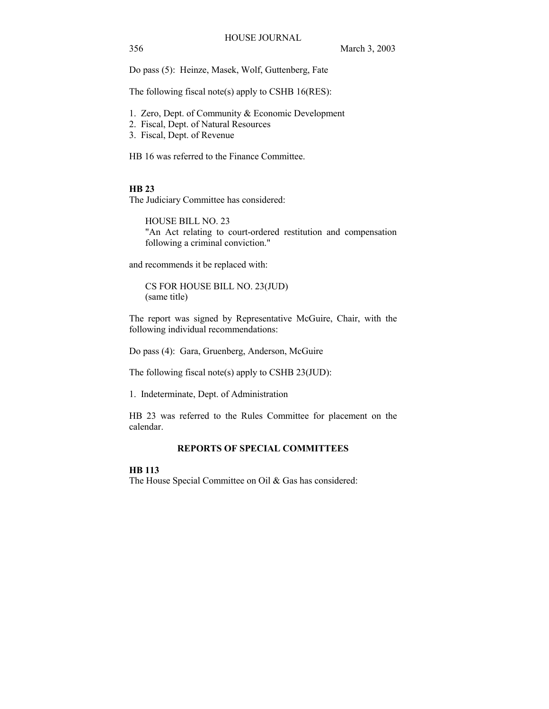356 March 3, 2003

Do pass (5): Heinze, Masek, Wolf, Guttenberg, Fate

The following fiscal note(s) apply to CSHB 16(RES):

- 1. Zero, Dept. of Community & Economic Development
- 2. Fiscal, Dept. of Natural Resources
- 3. Fiscal, Dept. of Revenue

HB 16 was referred to the Finance Committee.

### **HB 23**

The Judiciary Committee has considered:

HOUSE BILL NO. 23 "An Act relating to court-ordered restitution and compensation following a criminal conviction."

and recommends it be replaced with:

CS FOR HOUSE BILL NO. 23(JUD) (same title)

The report was signed by Representative McGuire, Chair, with the following individual recommendations:

Do pass (4): Gara, Gruenberg, Anderson, McGuire

The following fiscal note(s) apply to CSHB 23(JUD):

1. Indeterminate, Dept. of Administration

HB 23 was referred to the Rules Committee for placement on the calendar.

## **REPORTS OF SPECIAL COMMITTEES**

### **HB 113**

The House Special Committee on Oil & Gas has considered: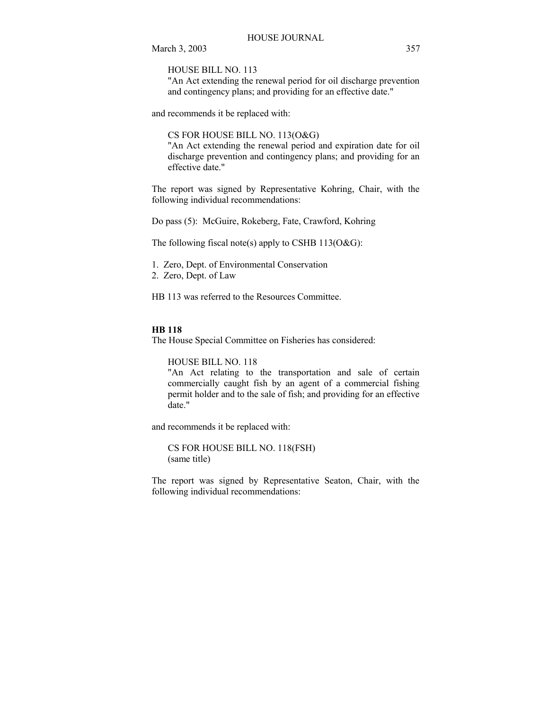HOUSE BILL NO. 113

"An Act extending the renewal period for oil discharge prevention and contingency plans; and providing for an effective date."

and recommends it be replaced with:

CS FOR HOUSE BILL NO. 113(O&G)

"An Act extending the renewal period and expiration date for oil discharge prevention and contingency plans; and providing for an effective date."

The report was signed by Representative Kohring, Chair, with the following individual recommendations:

Do pass (5): McGuire, Rokeberg, Fate, Crawford, Kohring

The following fiscal note(s) apply to CSHB  $113(O&G)$ :

- 1. Zero, Dept. of Environmental Conservation
- 2. Zero, Dept. of Law

HB 113 was referred to the Resources Committee.

## **HB 118**

The House Special Committee on Fisheries has considered:

HOUSE BILL NO. 118

"An Act relating to the transportation and sale of certain commercially caught fish by an agent of a commercial fishing permit holder and to the sale of fish; and providing for an effective date."

and recommends it be replaced with:

CS FOR HOUSE BILL NO. 118(FSH) (same title)

The report was signed by Representative Seaton, Chair, with the following individual recommendations: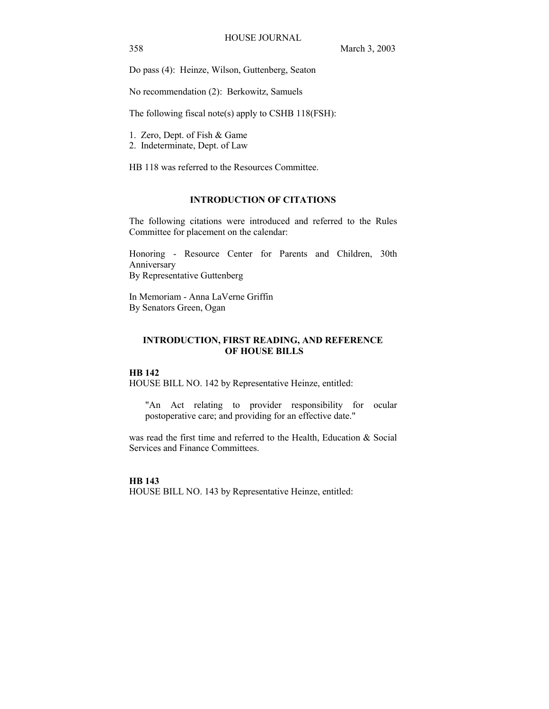Do pass (4): Heinze, Wilson, Guttenberg, Seaton

No recommendation (2): Berkowitz, Samuels

The following fiscal note(s) apply to CSHB 118(FSH):

- 1. Zero, Dept. of Fish & Game
- 2. Indeterminate, Dept. of Law

HB 118 was referred to the Resources Committee.

## **INTRODUCTION OF CITATIONS**

The following citations were introduced and referred to the Rules Committee for placement on the calendar:

Honoring - Resource Center for Parents and Children, 30th Anniversary By Representative Guttenberg

In Memoriam - Anna LaVerne Griffin By Senators Green, Ogan

## **INTRODUCTION, FIRST READING, AND REFERENCE OF HOUSE BILLS**

### **HB 142**

HOUSE BILL NO. 142 by Representative Heinze, entitled:

"An Act relating to provider responsibility for ocular postoperative care; and providing for an effective date."

was read the first time and referred to the Health, Education & Social Services and Finance Committees.

### **HB 143**

HOUSE BILL NO. 143 by Representative Heinze, entitled: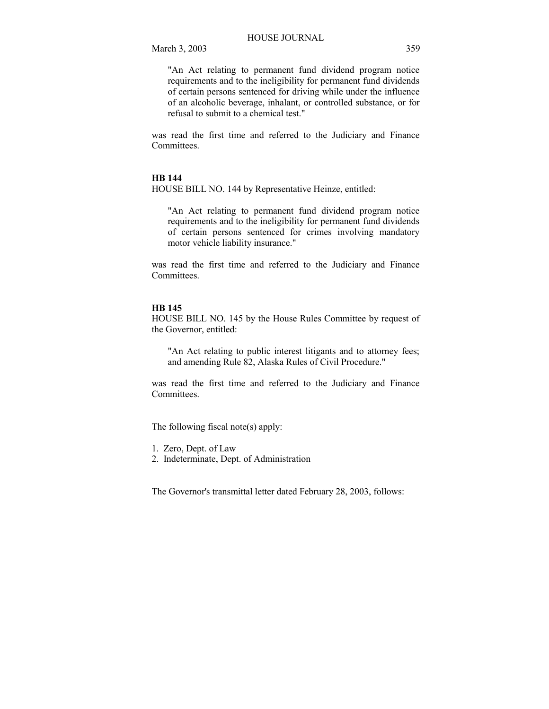"An Act relating to permanent fund dividend program notice requirements and to the ineligibility for permanent fund dividends of certain persons sentenced for driving while under the influence of an alcoholic beverage, inhalant, or controlled substance, or for refusal to submit to a chemical test."

was read the first time and referred to the Judiciary and Finance Committees.

## **HB 144**

HOUSE BILL NO. 144 by Representative Heinze, entitled:

"An Act relating to permanent fund dividend program notice requirements and to the ineligibility for permanent fund dividends of certain persons sentenced for crimes involving mandatory motor vehicle liability insurance."

was read the first time and referred to the Judiciary and Finance Committees.

#### **HB 145**

HOUSE BILL NO. 145 by the House Rules Committee by request of the Governor, entitled:

"An Act relating to public interest litigants and to attorney fees; and amending Rule 82, Alaska Rules of Civil Procedure."

was read the first time and referred to the Judiciary and Finance Committees.

The following fiscal note(s) apply:

- 1. Zero, Dept. of Law
- 2. Indeterminate, Dept. of Administration

The Governor's transmittal letter dated February 28, 2003, follows: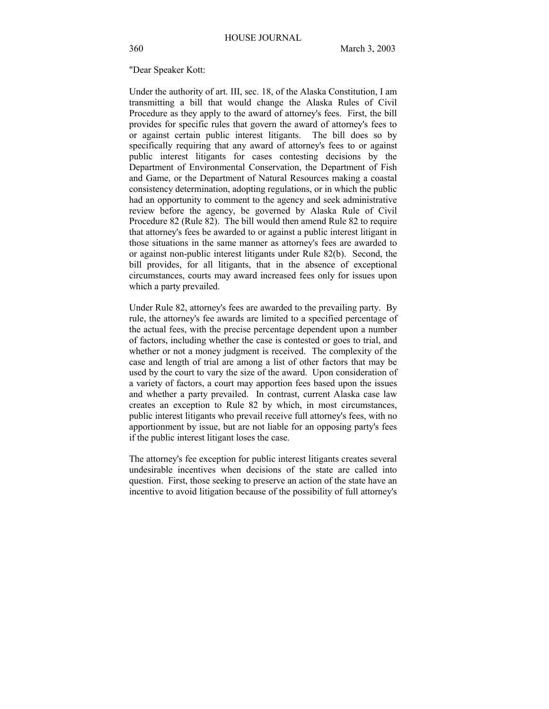#### "Dear Speaker Kott:

Under the authority of art. III, sec. 18, of the Alaska Constitution, I am transmitting a bill that would change the Alaska Rules of Civil Procedure as they apply to the award of attorney's fees. First, the bill provides for specific rules that govern the award of attorney's fees to or against certain public interest litigants. The bill does so by specifically requiring that any award of attorney's fees to or against public interest litigants for cases contesting decisions by the Department of Environmental Conservation, the Department of Fish and Game, or the Department of Natural Resources making a coastal consistency determination, adopting regulations, or in which the public had an opportunity to comment to the agency and seek administrative review before the agency, be governed by Alaska Rule of Civil Procedure 82 (Rule 82). The bill would then amend Rule 82 to require that attorney's fees be awarded to or against a public interest litigant in those situations in the same manner as attorney's fees are awarded to or against non-public interest litigants under Rule 82(b). Second, the bill provides, for all litigants, that in the absence of exceptional circumstances, courts may award increased fees only for issues upon which a party prevailed.

Under Rule 82, attorney's fees are awarded to the prevailing party. By rule, the attorney's fee awards are limited to a specified percentage of the actual fees, with the precise percentage dependent upon a number of factors, including whether the case is contested or goes to trial, and whether or not a money judgment is received. The complexity of the case and length of trial are among a list of other factors that may be used by the court to vary the size of the award. Upon consideration of a variety of factors, a court may apportion fees based upon the issues and whether a party prevailed. In contrast, current Alaska case law creates an exception to Rule 82 by which, in most circumstances, public interest litigants who prevail receive full attorney's fees, with no apportionment by issue, but are not liable for an opposing party's fees if the public interest litigant loses the case.

The attorney's fee exception for public interest litigants creates several undesirable incentives when decisions of the state are called into question. First, those seeking to preserve an action of the state have an incentive to avoid litigation because of the possibility of full attorney's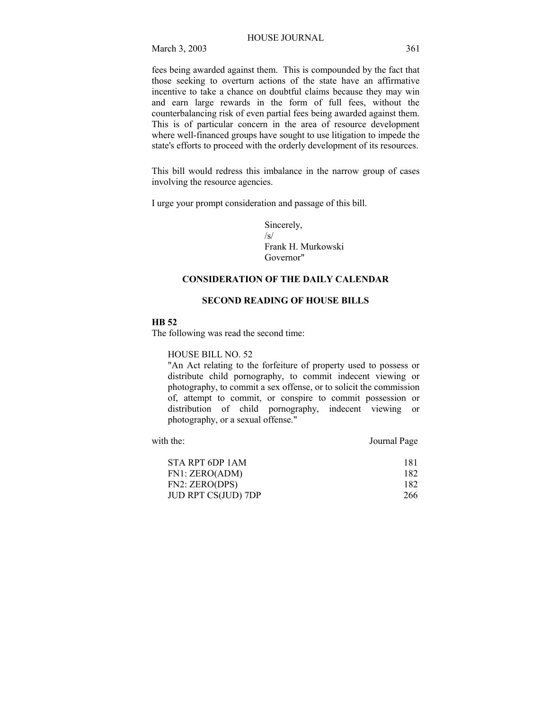fees being awarded against them. This is compounded by the fact that those seeking to overturn actions of the state have an affirmative incentive to take a chance on doubtful claims because they may win and earn large rewards in the form of full fees, without the counterbalancing risk of even partial fees being awarded against them. This is of particular concern in the area of resource development where well-financed groups have sought to use litigation to impede the state's efforts to proceed with the orderly development of its resources.

This bill would redress this imbalance in the narrow group of cases involving the resource agencies.

I urge your prompt consideration and passage of this bill.

Sincerely,  $\sqrt{s}$ Frank H. Murkowski Governor"

## **CONSIDERATION OF THE DAILY CALENDAR**

## **SECOND READING OF HOUSE BILLS**

### **HB 52**

The following was read the second time:

HOUSE BILL NO. 52

"An Act relating to the forfeiture of property used to possess or distribute child pornography, to commit indecent viewing or photography, to commit a sex offense, or to solicit the commission of, attempt to commit, or conspire to commit possession or distribution of child pornography, indecent viewing or photography, or a sexual offense."

with the: Journal Page

| STA RPT 6DP 1AM            | 181 |
|----------------------------|-----|
| FN1: ZERO(ADM)             | 182 |
| FN2: ZERO(DPS)             | 182 |
| <b>JUD RPT CS(JUD) 7DP</b> | 266 |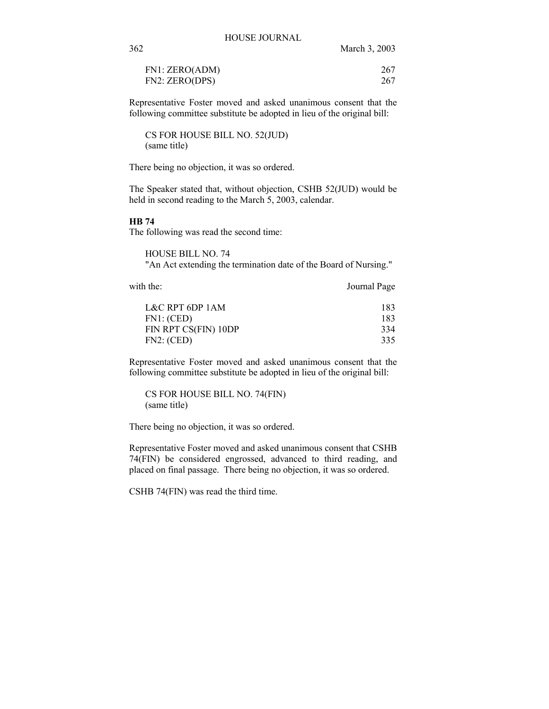| FN1: ZERO(ADM) | 267 |
|----------------|-----|
| FN2: ZERO(DPS) | 267 |

Representative Foster moved and asked unanimous consent that the following committee substitute be adopted in lieu of the original bill:

CS FOR HOUSE BILL NO. 52(JUD) (same title)

There being no objection, it was so ordered.

The Speaker stated that, without objection, CSHB 52(JUD) would be held in second reading to the March 5, 2003, calendar.

### **HB 74**

The following was read the second time:

HOUSE BILL NO. 74 "An Act extending the termination date of the Board of Nursing."

with the: Journal Page

| L&C RPT 6DP 1AM      | 183 |
|----------------------|-----|
| FN1: (CED)           | 183 |
| FIN RPT CS(FIN) 10DP | 334 |
| FN2: (CED)           | 335 |

Representative Foster moved and asked unanimous consent that the following committee substitute be adopted in lieu of the original bill:

CS FOR HOUSE BILL NO. 74(FIN) (same title)

There being no objection, it was so ordered.

Representative Foster moved and asked unanimous consent that CSHB 74(FIN) be considered engrossed, advanced to third reading, and placed on final passage. There being no objection, it was so ordered.

CSHB 74(FIN) was read the third time.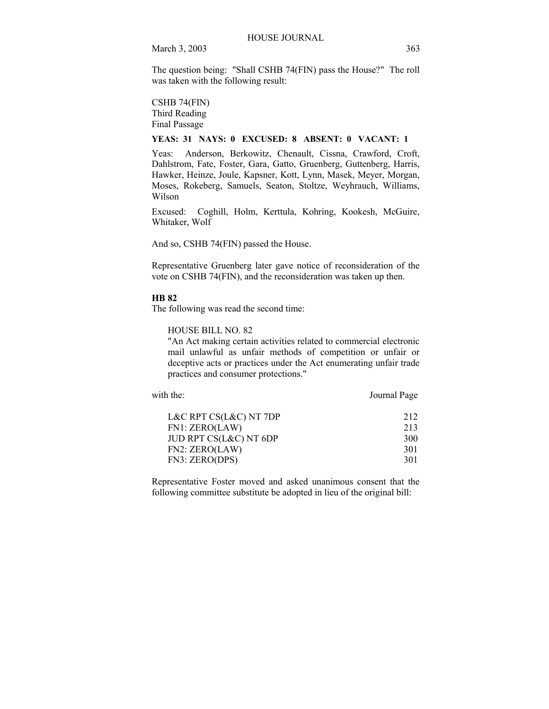The question being: "Shall CSHB 74(FIN) pass the House?" The roll was taken with the following result:

## CSHB 74(FIN) Third Reading

Final Passage

## **YEAS: 31 NAYS: 0 EXCUSED: 8 ABSENT: 0 VACANT: 1**

Yeas: Anderson, Berkowitz, Chenault, Cissna, Crawford, Croft, Dahlstrom, Fate, Foster, Gara, Gatto, Gruenberg, Guttenberg, Harris, Hawker, Heinze, Joule, Kapsner, Kott, Lynn, Masek, Meyer, Morgan, Moses, Rokeberg, Samuels, Seaton, Stoltze, Weyhrauch, Williams, Wilson

Excused: Coghill, Holm, Kerttula, Kohring, Kookesh, McGuire, Whitaker, Wolf

And so, CSHB 74(FIN) passed the House.

Representative Gruenberg later gave notice of reconsideration of the vote on CSHB 74(FIN), and the reconsideration was taken up then.

### **HB 82**

The following was read the second time:

HOUSE BILL NO. 82

"An Act making certain activities related to commercial electronic mail unlawful as unfair methods of competition or unfair or deceptive acts or practices under the Act enumerating unfair trade practices and consumer protections."

with the: Journal Page

| L&C RPT CS(L&C) NT 7DP | 212 |
|------------------------|-----|
| FN1: ZERO(LAW)         | 213 |
| JUD RPT CS(L&C) NT 6DP | 300 |
| FN2: ZERO(LAW)         | 301 |
| FN3: ZERO(DPS)         | 301 |

Representative Foster moved and asked unanimous consent that the following committee substitute be adopted in lieu of the original bill: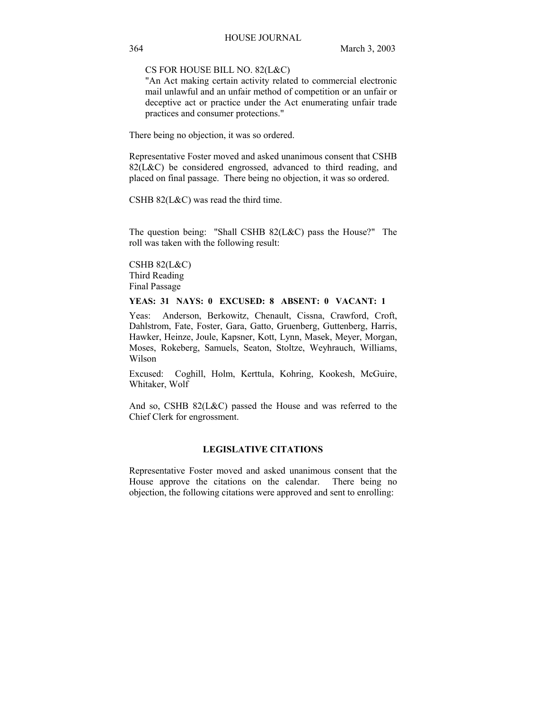CS FOR HOUSE BILL NO. 82(L&C)

"An Act making certain activity related to commercial electronic mail unlawful and an unfair method of competition or an unfair or deceptive act or practice under the Act enumerating unfair trade practices and consumer protections."

There being no objection, it was so ordered.

Representative Foster moved and asked unanimous consent that CSHB 82(L&C) be considered engrossed, advanced to third reading, and placed on final passage. There being no objection, it was so ordered.

CSHB 82(L&C) was read the third time.

The question being: "Shall CSHB 82(L&C) pass the House?" The roll was taken with the following result:

CSHB 82(L&C) Third Reading Final Passage

### **YEAS: 31 NAYS: 0 EXCUSED: 8 ABSENT: 0 VACANT: 1**

Yeas: Anderson, Berkowitz, Chenault, Cissna, Crawford, Croft, Dahlstrom, Fate, Foster, Gara, Gatto, Gruenberg, Guttenberg, Harris, Hawker, Heinze, Joule, Kapsner, Kott, Lynn, Masek, Meyer, Morgan, Moses, Rokeberg, Samuels, Seaton, Stoltze, Weyhrauch, Williams, Wilson

Excused: Coghill, Holm, Kerttula, Kohring, Kookesh, McGuire, Whitaker, Wolf

And so, CSHB 82(L&C) passed the House and was referred to the Chief Clerk for engrossment.

### **LEGISLATIVE CITATIONS**

Representative Foster moved and asked unanimous consent that the House approve the citations on the calendar. There being no objection, the following citations were approved and sent to enrolling: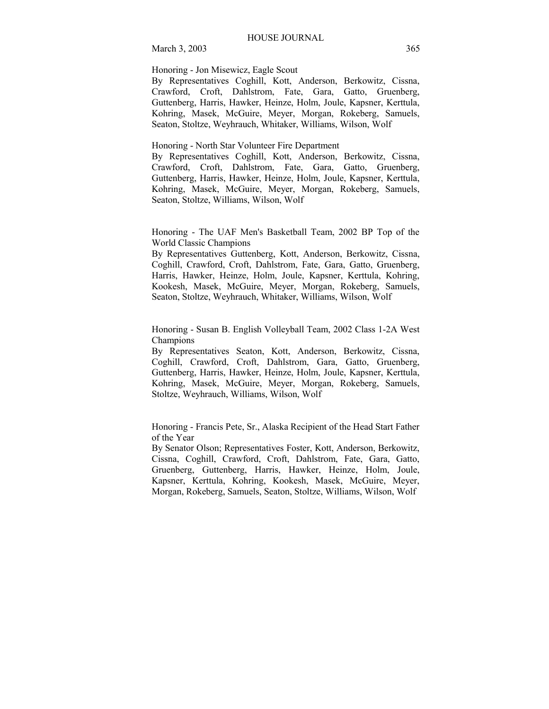Honoring - Jon Misewicz, Eagle Scout

By Representatives Coghill, Kott, Anderson, Berkowitz, Cissna, Crawford, Croft, Dahlstrom, Fate, Gara, Gatto, Gruenberg, Guttenberg, Harris, Hawker, Heinze, Holm, Joule, Kapsner, Kerttula, Kohring, Masek, McGuire, Meyer, Morgan, Rokeberg, Samuels, Seaton, Stoltze, Weyhrauch, Whitaker, Williams, Wilson, Wolf

Honoring - North Star Volunteer Fire Department

By Representatives Coghill, Kott, Anderson, Berkowitz, Cissna, Crawford, Croft, Dahlstrom, Fate, Gara, Gatto, Gruenberg, Guttenberg, Harris, Hawker, Heinze, Holm, Joule, Kapsner, Kerttula, Kohring, Masek, McGuire, Meyer, Morgan, Rokeberg, Samuels, Seaton, Stoltze, Williams, Wilson, Wolf

Honoring - The UAF Men's Basketball Team, 2002 BP Top of the World Classic Champions

By Representatives Guttenberg, Kott, Anderson, Berkowitz, Cissna, Coghill, Crawford, Croft, Dahlstrom, Fate, Gara, Gatto, Gruenberg, Harris, Hawker, Heinze, Holm, Joule, Kapsner, Kerttula, Kohring, Kookesh, Masek, McGuire, Meyer, Morgan, Rokeberg, Samuels, Seaton, Stoltze, Weyhrauch, Whitaker, Williams, Wilson, Wolf

Honoring - Susan B. English Volleyball Team, 2002 Class 1-2A West Champions

By Representatives Seaton, Kott, Anderson, Berkowitz, Cissna, Coghill, Crawford, Croft, Dahlstrom, Gara, Gatto, Gruenberg, Guttenberg, Harris, Hawker, Heinze, Holm, Joule, Kapsner, Kerttula, Kohring, Masek, McGuire, Meyer, Morgan, Rokeberg, Samuels, Stoltze, Weyhrauch, Williams, Wilson, Wolf

Honoring - Francis Pete, Sr., Alaska Recipient of the Head Start Father of the Year

By Senator Olson; Representatives Foster, Kott, Anderson, Berkowitz, Cissna, Coghill, Crawford, Croft, Dahlstrom, Fate, Gara, Gatto, Gruenberg, Guttenberg, Harris, Hawker, Heinze, Holm, Joule, Kapsner, Kerttula, Kohring, Kookesh, Masek, McGuire, Meyer, Morgan, Rokeberg, Samuels, Seaton, Stoltze, Williams, Wilson, Wolf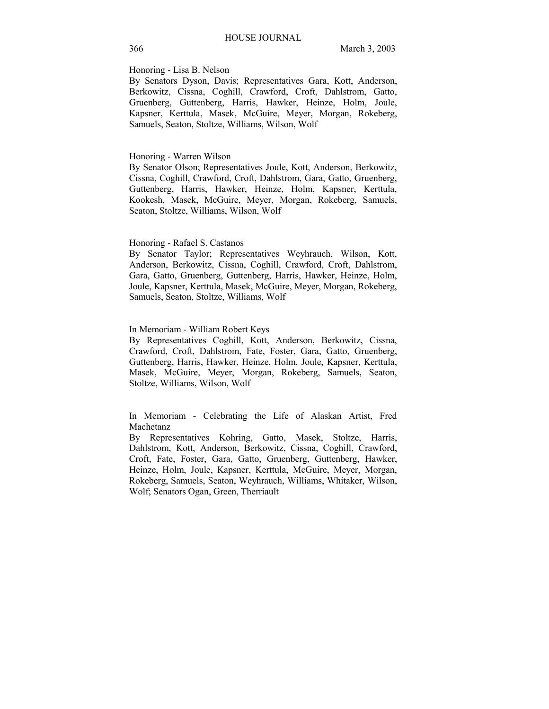### Honoring - Lisa B. Nelson

By Senators Dyson, Davis; Representatives Gara, Kott, Anderson, Berkowitz, Cissna, Coghill, Crawford, Croft, Dahlstrom, Gatto, Gruenberg, Guttenberg, Harris, Hawker, Heinze, Holm, Joule, Kapsner, Kerttula, Masek, McGuire, Meyer, Morgan, Rokeberg, Samuels, Seaton, Stoltze, Williams, Wilson, Wolf

### Honoring - Warren Wilson

By Senator Olson; Representatives Joule, Kott, Anderson, Berkowitz, Cissna, Coghill, Crawford, Croft, Dahlstrom, Gara, Gatto, Gruenberg, Guttenberg, Harris, Hawker, Heinze, Holm, Kapsner, Kerttula, Kookesh, Masek, McGuire, Meyer, Morgan, Rokeberg, Samuels, Seaton, Stoltze, Williams, Wilson, Wolf

#### Honoring - Rafael S. Castanos

By Senator Taylor; Representatives Weyhrauch, Wilson, Kott, Anderson, Berkowitz, Cissna, Coghill, Crawford, Croft, Dahlstrom, Gara, Gatto, Gruenberg, Guttenberg, Harris, Hawker, Heinze, Holm, Joule, Kapsner, Kerttula, Masek, McGuire, Meyer, Morgan, Rokeberg, Samuels, Seaton, Stoltze, Williams, Wolf

### In Memoriam - William Robert Keys

By Representatives Coghill, Kott, Anderson, Berkowitz, Cissna, Crawford, Croft, Dahlstrom, Fate, Foster, Gara, Gatto, Gruenberg, Guttenberg, Harris, Hawker, Heinze, Holm, Joule, Kapsner, Kerttula, Masek, McGuire, Meyer, Morgan, Rokeberg, Samuels, Seaton, Stoltze, Williams, Wilson, Wolf

In Memoriam - Celebrating the Life of Alaskan Artist, Fred Machetanz

By Representatives Kohring, Gatto, Masek, Stoltze, Harris, Dahlstrom, Kott, Anderson, Berkowitz, Cissna, Coghill, Crawford, Croft, Fate, Foster, Gara, Gatto, Gruenberg, Guttenberg, Hawker, Heinze, Holm, Joule, Kapsner, Kerttula, McGuire, Meyer, Morgan, Rokeberg, Samuels, Seaton, Weyhrauch, Williams, Whitaker, Wilson, Wolf; Senators Ogan, Green, Therriault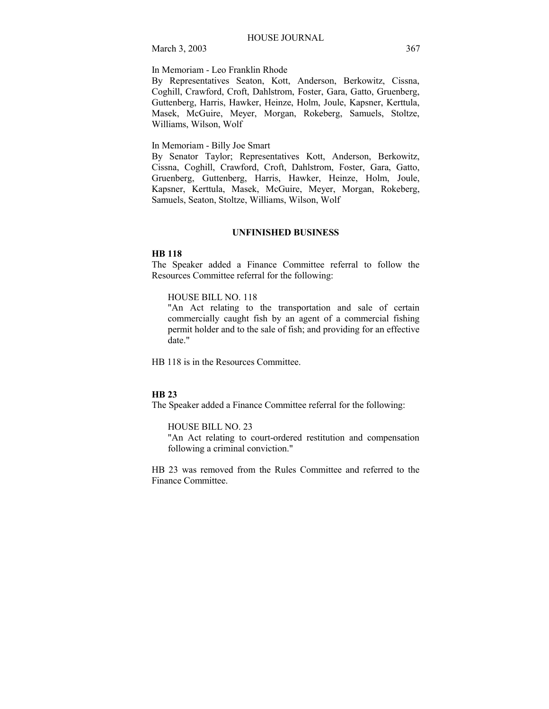In Memoriam - Leo Franklin Rhode

By Representatives Seaton, Kott, Anderson, Berkowitz, Cissna, Coghill, Crawford, Croft, Dahlstrom, Foster, Gara, Gatto, Gruenberg, Guttenberg, Harris, Hawker, Heinze, Holm, Joule, Kapsner, Kerttula, Masek, McGuire, Meyer, Morgan, Rokeberg, Samuels, Stoltze, Williams, Wilson, Wolf

In Memoriam - Billy Joe Smart

By Senator Taylor; Representatives Kott, Anderson, Berkowitz, Cissna, Coghill, Crawford, Croft, Dahlstrom, Foster, Gara, Gatto, Gruenberg, Guttenberg, Harris, Hawker, Heinze, Holm, Joule, Kapsner, Kerttula, Masek, McGuire, Meyer, Morgan, Rokeberg, Samuels, Seaton, Stoltze, Williams, Wilson, Wolf

### **UNFINISHED BUSINESS**

### **HB 118**

The Speaker added a Finance Committee referral to follow the Resources Committee referral for the following:

## HOUSE BILL NO. 118

"An Act relating to the transportation and sale of certain commercially caught fish by an agent of a commercial fishing permit holder and to the sale of fish; and providing for an effective date."

HB 118 is in the Resources Committee.

#### **HB 23**

The Speaker added a Finance Committee referral for the following:

HOUSE BILL NO. 23

"An Act relating to court-ordered restitution and compensation following a criminal conviction."

HB 23 was removed from the Rules Committee and referred to the Finance Committee.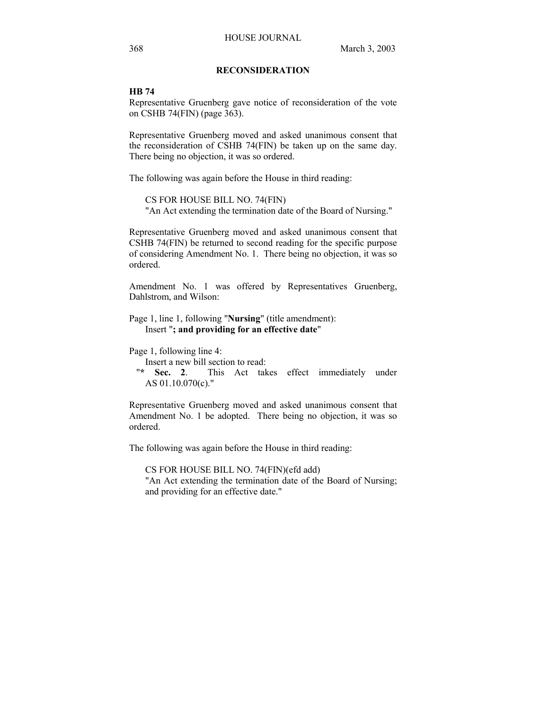## **RECONSIDERATION**

#### **HB 74**

Representative Gruenberg gave notice of reconsideration of the vote on CSHB 74(FIN) (page 363).

Representative Gruenberg moved and asked unanimous consent that the reconsideration of CSHB 74(FIN) be taken up on the same day. There being no objection, it was so ordered.

The following was again before the House in third reading:

CS FOR HOUSE BILL NO. 74(FIN) "An Act extending the termination date of the Board of Nursing."

Representative Gruenberg moved and asked unanimous consent that CSHB 74(FIN) be returned to second reading for the specific purpose of considering Amendment No. 1. There being no objection, it was so ordered.

Amendment No. 1 was offered by Representatives Gruenberg, Dahlstrom, and Wilson:

Page 1, line 1, following "**Nursing**" (title amendment): Insert "**; and providing for an effective date**"

Page 1, following line 4:

Insert a new bill section to read:

 "**\* Sec. 2**. This Act takes effect immediately under AS 01.10.070(c)."

Representative Gruenberg moved and asked unanimous consent that Amendment No. 1 be adopted. There being no objection, it was so ordered.

The following was again before the House in third reading:

CS FOR HOUSE BILL NO. 74(FIN)(efd add) "An Act extending the termination date of the Board of Nursing; and providing for an effective date."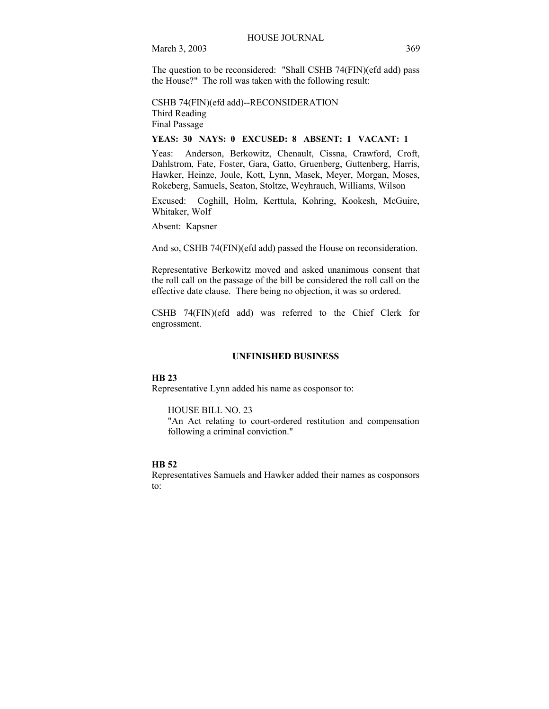The question to be reconsidered: "Shall CSHB 74(FIN)(efd add) pass the House?" The roll was taken with the following result:

CSHB 74(FIN)(efd add)--RECONSIDERATION Third Reading Final Passage

### **YEAS: 30 NAYS: 0 EXCUSED: 8 ABSENT: 1 VACANT: 1**

Yeas: Anderson, Berkowitz, Chenault, Cissna, Crawford, Croft, Dahlstrom, Fate, Foster, Gara, Gatto, Gruenberg, Guttenberg, Harris, Hawker, Heinze, Joule, Kott, Lynn, Masek, Meyer, Morgan, Moses, Rokeberg, Samuels, Seaton, Stoltze, Weyhrauch, Williams, Wilson

Excused: Coghill, Holm, Kerttula, Kohring, Kookesh, McGuire, Whitaker, Wolf

Absent: Kapsner

And so, CSHB 74(FIN)(efd add) passed the House on reconsideration.

Representative Berkowitz moved and asked unanimous consent that the roll call on the passage of the bill be considered the roll call on the effective date clause. There being no objection, it was so ordered.

CSHB 74(FIN)(efd add) was referred to the Chief Clerk for engrossment.

### **UNFINISHED BUSINESS**

#### **HB 23**

Representative Lynn added his name as cosponsor to:

#### HOUSE BILL NO. 23

"An Act relating to court-ordered restitution and compensation following a criminal conviction."

## **HB 52**

Representatives Samuels and Hawker added their names as cosponsors to: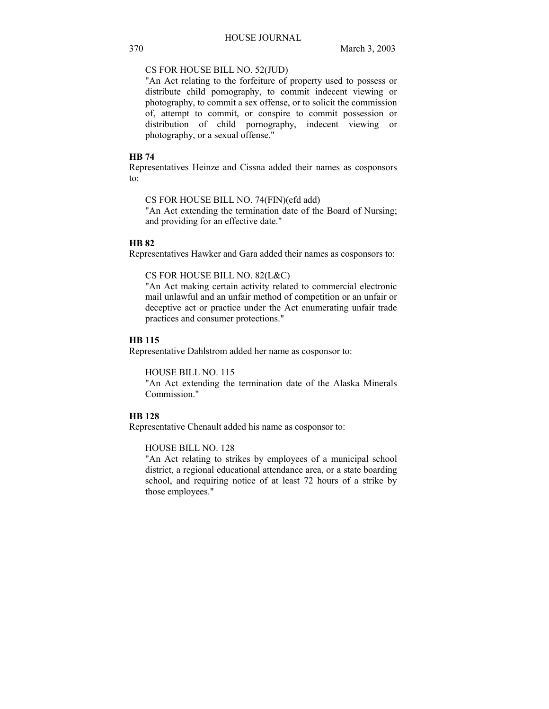## CS FOR HOUSE BILL NO. 52(JUD)

"An Act relating to the forfeiture of property used to possess or distribute child pornography, to commit indecent viewing or photography, to commit a sex offense, or to solicit the commission of, attempt to commit, or conspire to commit possession or distribution of child pornography, indecent viewing or photography, or a sexual offense."

### **HB 74**

Representatives Heinze and Cissna added their names as cosponsors to:

CS FOR HOUSE BILL NO. 74(FIN)(efd add)

"An Act extending the termination date of the Board of Nursing; and providing for an effective date."

### **HB 82**

Representatives Hawker and Gara added their names as cosponsors to:

CS FOR HOUSE BILL NO. 82(L&C)

"An Act making certain activity related to commercial electronic mail unlawful and an unfair method of competition or an unfair or deceptive act or practice under the Act enumerating unfair trade practices and consumer protections."

## **HB 115**

Representative Dahlstrom added her name as cosponsor to:

HOUSE BILL NO. 115

"An Act extending the termination date of the Alaska Minerals Commission."

## **HB 128**

Representative Chenault added his name as cosponsor to:

HOUSE BILL NO. 128

"An Act relating to strikes by employees of a municipal school district, a regional educational attendance area, or a state boarding school, and requiring notice of at least 72 hours of a strike by those employees."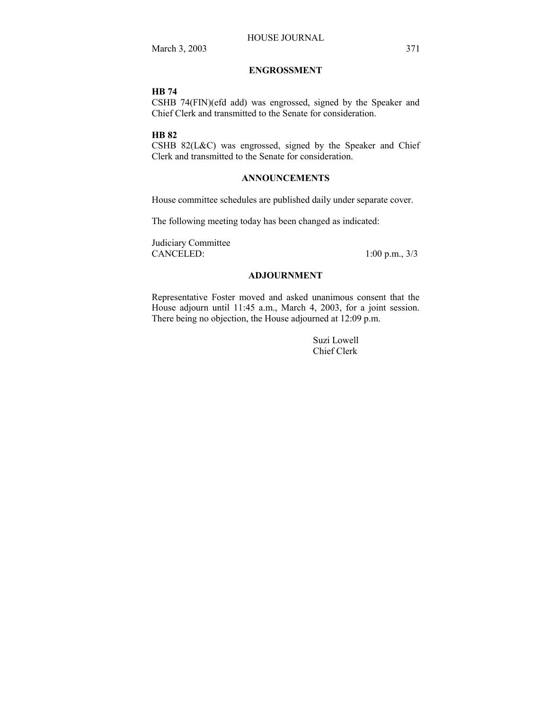## **ENGROSSMENT**

## **HB 74**

CSHB 74(FIN)(efd add) was engrossed, signed by the Speaker and Chief Clerk and transmitted to the Senate for consideration.

### **HB 82**

CSHB 82(L&C) was engrossed, signed by the Speaker and Chief Clerk and transmitted to the Senate for consideration.

## **ANNOUNCEMENTS**

House committee schedules are published daily under separate cover.

The following meeting today has been changed as indicated:

Judiciary Committee CANCELED: 1:00 p.m., 3/3

## **ADJOURNMENT**

Representative Foster moved and asked unanimous consent that the House adjourn until 11:45 a.m., March 4, 2003, for a joint session. There being no objection, the House adjourned at 12:09 p.m.

> Suzi Lowell Chief Clerk